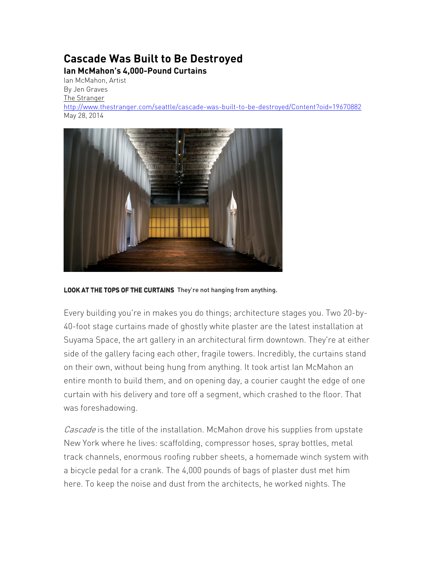## **Cascade Was Built to Be Destroyed Ian McMahon's 4,000-Pound Curtains**

Ian McMahon, Artist By Jen Graves The Stranger

http://www.thestranger.com/seattle/cascade-was-built-to-be-destroyed/Content?oid=19670882 May 28, 2014



LOOK AT THE TOPS OF THE CURTAINS They're not hanging from anything.

Every building you're in makes you do things; architecture stages you. Two 20-by-40-foot stage curtains made of ghostly white plaster are the latest installation at Suyama Space, the art gallery in an architectural firm downtown. They're at either side of the gallery facing each other, fragile towers. Incredibly, the curtains stand on their own, without being hung from anything. It took artist Ian McMahon an entire month to build them, and on opening day, a courier caught the edge of one curtain with his delivery and tore off a segment, which crashed to the floor. That was foreshadowing.

Cascade is the title of the installation. McMahon drove his supplies from upstate New York where he lives: scaffolding, compressor hoses, spray bottles, metal track channels, enormous roofing rubber sheets, a homemade winch system with a bicycle pedal for a crank. The 4,000 pounds of bags of plaster dust met him here. To keep the noise and dust from the architects, he worked nights. The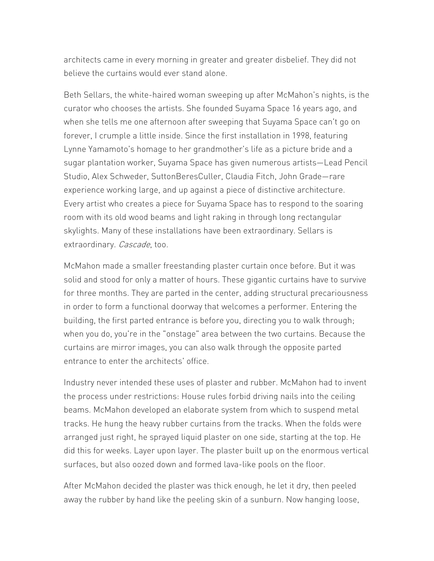architects came in every morning in greater and greater disbelief. They did not believe the curtains would ever stand alone.

Beth Sellars, the white-haired woman sweeping up after McMahon's nights, is the curator who chooses the artists. She founded Suyama Space 16 years ago, and when she tells me one afternoon after sweeping that Suyama Space can't go on forever, I crumple a little inside. Since the first installation in 1998, featuring Lynne Yamamoto's homage to her grandmother's life as a picture bride and a sugar plantation worker, Suyama Space has given numerous artists—Lead Pencil Studio, Alex Schweder, SuttonBeresCuller, Claudia Fitch, John Grade—rare experience working large, and up against a piece of distinctive architecture. Every artist who creates a piece for Suyama Space has to respond to the soaring room with its old wood beams and light raking in through long rectangular skylights. Many of these installations have been extraordinary. Sellars is extraordinary. Cascade, too.

McMahon made a smaller freestanding plaster curtain once before. But it was solid and stood for only a matter of hours. These gigantic curtains have to survive for three months. They are parted in the center, adding structural precariousness in order to form a functional doorway that welcomes a performer. Entering the building, the first parted entrance is before you, directing you to walk through; when you do, you're in the "onstage" area between the two curtains. Because the curtains are mirror images, you can also walk through the opposite parted entrance to enter the architects' office.

Industry never intended these uses of plaster and rubber. McMahon had to invent the process under restrictions: House rules forbid driving nails into the ceiling beams. McMahon developed an elaborate system from which to suspend metal tracks. He hung the heavy rubber curtains from the tracks. When the folds were arranged just right, he sprayed liquid plaster on one side, starting at the top. He did this for weeks. Layer upon layer. The plaster built up on the enormous vertical surfaces, but also oozed down and formed lava-like pools on the floor.

After McMahon decided the plaster was thick enough, he let it dry, then peeled away the rubber by hand like the peeling skin of a sunburn. Now hanging loose,